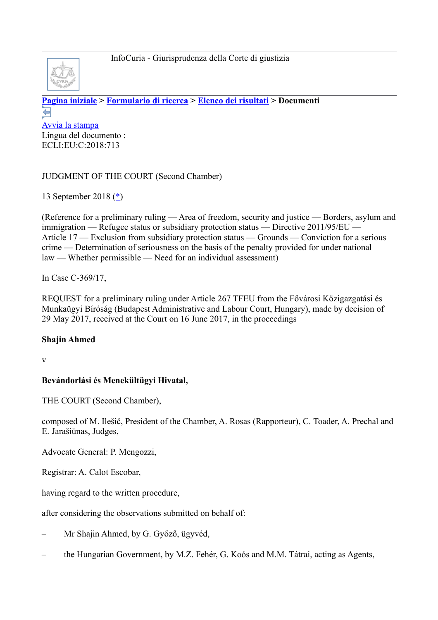

**[Pagina iniziale](http://curia.europa.eu/jcms/jcms/j_6?PortalAction_x_000_userLang=it) > [Formulario di ricerca](http://curia.europa.eu/juris/document/document.jsf?docid=205671&text=&dir=&doclang=EN&part=1&occ=first&mode=lst&pageIndex=0&actionMethod=document%2Fdocument.xhtml%3AformController.resetAction&cid=120790) > [Elenco dei risultati](http://curia.europa.eu/juris/documents.jsf?oqp=&for=&mat=or&lgrec=it&jge=&td=%3BALL&jur=C%2CT%2CF&num=C-369%252F17&page=1&dates=&pcs=Oor&lg=&pro=&nat=or&cit=none%252CC%252CCJ%252CR%252C2008E%252C%252C%252C%252C%252C%252C%252C%252C%252C%252Ctrue%252Cfalse%252Cfalse&language=it&avg=&cid=120790) > Documenti**   $\leftarrow$ [Avvia la stampa](http://curia.europa.eu/juris/document/document_print.jsf?docid=205671&text=&dir=&doclang=EN&part=1&occ=first&mode=lst&pageIndex=0&cid=120790) Lingua del documento : ECLI:EU:C:2018:713

# JUDGMENT OF THE COURT (Second Chamber)

13 September 2018 [\(\\*\)](http://curia.europa.eu/juris/document/document.jsf?text=&docid=205671&pageIndex=0&doclang=EN&mode=lst&dir=&occ=first&part=1&cid=120790#Footnote*)

(Reference for a preliminary ruling — Area of freedom, security and justice — Borders, asylum and immigration — Refugee status or subsidiary protection status — Directive 2011/95/EU — Article 17 — Exclusion from subsidiary protection status — Grounds — Conviction for a serious crime — Determination of seriousness on the basis of the penalty provided for under national law — Whether permissible — Need for an individual assessment)

In Case C-369/17,

REQUEST for a preliminary ruling under Article 267 TFEU from the Fővárosi Közigazgatási és Munkaügyi Bíróság (Budapest Administrative and Labour Court, Hungary), made by decision of 29 May 2017, received at the Court on 16 June 2017, in the proceedings

#### **Shajin Ahmed**

v

## **Bevándorlási és Menekültügyi Hivatal,**

THE COURT (Second Chamber),

composed of M. Ilešič, President of the Chamber, A. Rosas (Rapporteur), C. Toader, A. Prechal and E. Jarašiūnas, Judges,

Advocate General: P. Mengozzi,

Registrar: A. Calot Escobar,

having regard to the written procedure,

after considering the observations submitted on behalf of:

- Mr Shajin Ahmed, by G. Győző, ügyvéd,
- the Hungarian Government, by M.Z. Fehér, G. Koós and M.M. Tátrai, acting as Agents,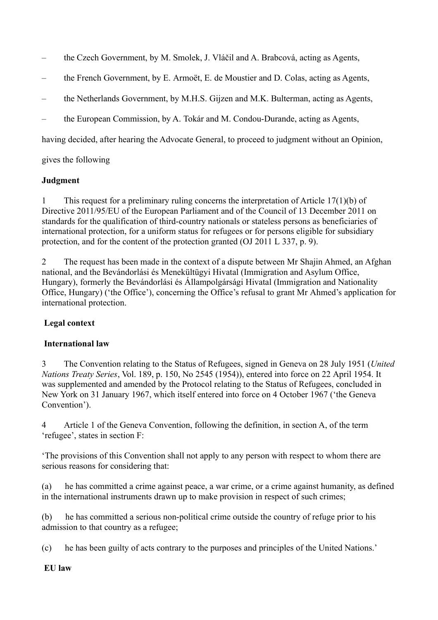- the Czech Government, by M. Smolek, J. Vláčil and A. Brabcová, acting as Agents,
- the French Government, by E. Armoët, E. de Moustier and D. Colas, acting as Agents,
- the Netherlands Government, by M.H.S. Gijzen and M.K. Bulterman, acting as Agents,
- the European Commission, by A. Tokár and M. Condou-Durande, acting as Agents,

having decided, after hearing the Advocate General, to proceed to judgment without an Opinion,

gives the following

## **Judgment**

1 This request for a preliminary ruling concerns the interpretation of Article 17(1)(b) of Directive 2011/95/EU of the European Parliament and of the Council of 13 December 2011 on standards for the qualification of third-country nationals or stateless persons as beneficiaries of international protection, for a uniform status for refugees or for persons eligible for subsidiary protection, and for the content of the protection granted (OJ 2011 L 337, p. 9).

2 The request has been made in the context of a dispute between Mr Shajin Ahmed, an Afghan national, and the Bevándorlási és Menekültügyi Hivatal (Immigration and Asylum Office, Hungary), formerly the Bevándorlási és Állampolgársági Hivatal (Immigration and Nationality Office, Hungary) ('the Office'), concerning the Office's refusal to grant Mr Ahmed's application for international protection.

# **Legal context**

## **International law**

3 The Convention relating to the Status of Refugees, signed in Geneva on 28 July 1951 (*United Nations Treaty Series*, Vol. 189, p. 150, No 2545 (1954)), entered into force on 22 April 1954. It was supplemented and amended by the Protocol relating to the Status of Refugees, concluded in New York on 31 January 1967, which itself entered into force on 4 October 1967 ('the Geneva Convention').

4 Article 1 of the Geneva Convention, following the definition, in section A, of the term 'refugee', states in section F:

'The provisions of this Convention shall not apply to any person with respect to whom there are serious reasons for considering that:

(a) he has committed a crime against peace, a war crime, or a crime against humanity, as defined in the international instruments drawn up to make provision in respect of such crimes;

(b) he has committed a serious non-political crime outside the country of refuge prior to his admission to that country as a refugee;

(c) he has been guilty of acts contrary to the purposes and principles of the United Nations.'

#### **EU law**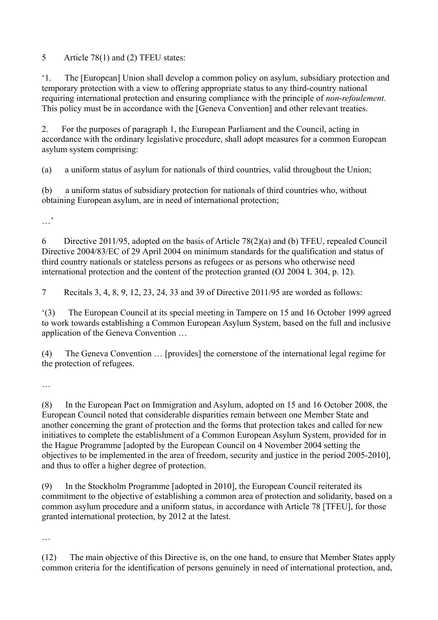5 Article 78(1) and (2) TFEU states:

'1. The [European] Union shall develop a common policy on asylum, subsidiary protection and temporary protection with a view to offering appropriate status to any third-country national requiring international protection and ensuring compliance with the principle of *non*-*refoulement*. This policy must be in accordance with the [Geneva Convention] and other relevant treaties.

2. For the purposes of paragraph 1, the European Parliament and the Council, acting in accordance with the ordinary legislative procedure, shall adopt measures for a common European asylum system comprising:

(a) a uniform status of asylum for nationals of third countries, valid throughout the Union;

(b) a uniform status of subsidiary protection for nationals of third countries who, without obtaining European asylum, are in need of international protection;

…'

6 Directive 2011/95, adopted on the basis of Article 78(2)(a) and (b) TFEU, repealed Council Directive 2004/83/EC of 29 April 2004 on minimum standards for the qualification and status of third country nationals or stateless persons as refugees or as persons who otherwise need international protection and the content of the protection granted (OJ 2004 L 304, p. 12).

7 Recitals 3, 4, 8, 9, 12, 23, 24, 33 and 39 of Directive 2011/95 are worded as follows:

'(3) The European Council at its special meeting in Tampere on 15 and 16 October 1999 agreed to work towards establishing a Common European Asylum System, based on the full and inclusive application of the Geneva Convention …

(4) The Geneva Convention … [provides] the cornerstone of the international legal regime for the protection of refugees.

…

(8) In the European Pact on Immigration and Asylum, adopted on 15 and 16 October 2008, the European Council noted that considerable disparities remain between one Member State and another concerning the grant of protection and the forms that protection takes and called for new initiatives to complete the establishment of a Common European Asylum System, provided for in the Hague Programme [adopted by the European Council on 4 November 2004 setting the objectives to be implemented in the area of freedom, security and justice in the period 2005-2010], and thus to offer a higher degree of protection.

(9) In the Stockholm Programme [adopted in 2010], the European Council reiterated its commitment to the objective of establishing a common area of protection and solidarity, based on a common asylum procedure and a uniform status, in accordance with Article 78 [TFEU], for those granted international protection, by 2012 at the latest.

…

(12) The main objective of this Directive is, on the one hand, to ensure that Member States apply common criteria for the identification of persons genuinely in need of international protection, and,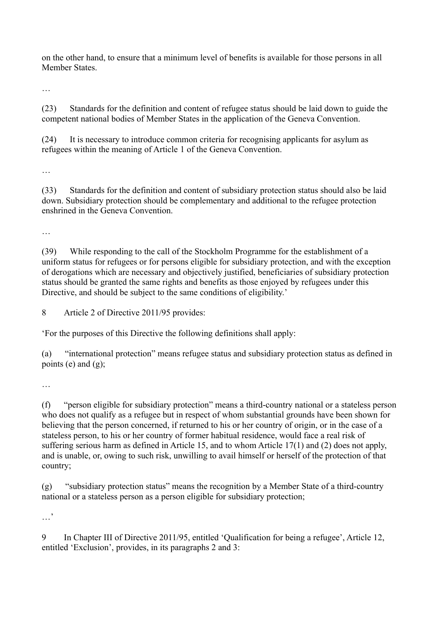on the other hand, to ensure that a minimum level of benefits is available for those persons in all Member States.

…

(23) Standards for the definition and content of refugee status should be laid down to guide the competent national bodies of Member States in the application of the Geneva Convention.

(24) It is necessary to introduce common criteria for recognising applicants for asylum as refugees within the meaning of Article 1 of the Geneva Convention.

…

(33) Standards for the definition and content of subsidiary protection status should also be laid down. Subsidiary protection should be complementary and additional to the refugee protection enshrined in the Geneva Convention.

…

(39) While responding to the call of the Stockholm Programme for the establishment of a uniform status for refugees or for persons eligible for subsidiary protection, and with the exception of derogations which are necessary and objectively justified, beneficiaries of subsidiary protection status should be granted the same rights and benefits as those enjoyed by refugees under this Directive, and should be subject to the same conditions of eligibility.'

8 Article 2 of Directive 2011/95 provides:

'For the purposes of this Directive the following definitions shall apply:

(a) "international protection" means refugee status and subsidiary protection status as defined in points (e) and  $(g)$ ;

…

(f) "person eligible for subsidiary protection" means a third-country national or a stateless person who does not qualify as a refugee but in respect of whom substantial grounds have been shown for believing that the person concerned, if returned to his or her country of origin, or in the case of a stateless person, to his or her country of former habitual residence, would face a real risk of suffering serious harm as defined in Article 15, and to whom Article 17(1) and (2) does not apply, and is unable, or, owing to such risk, unwilling to avail himself or herself of the protection of that country;

(g) "subsidiary protection status" means the recognition by a Member State of a third-country national or a stateless person as a person eligible for subsidiary protection;

…,

9 In Chapter III of Directive 2011/95, entitled 'Qualification for being a refugee', Article 12, entitled 'Exclusion', provides, in its paragraphs 2 and 3: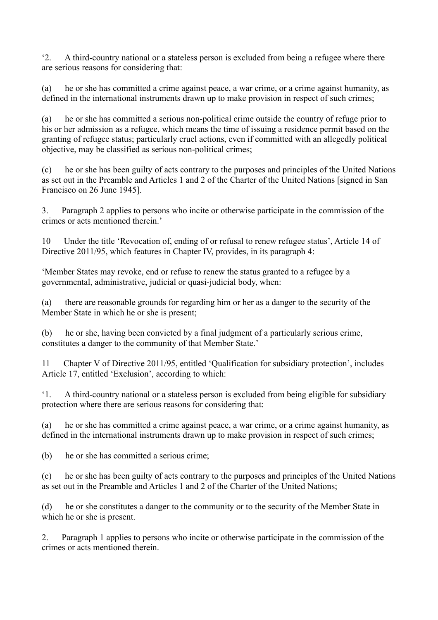'2. A third-country national or a stateless person is excluded from being a refugee where there are serious reasons for considering that:

(a) he or she has committed a crime against peace, a war crime, or a crime against humanity, as defined in the international instruments drawn up to make provision in respect of such crimes;

(a) he or she has committed a serious non-political crime outside the country of refuge prior to his or her admission as a refugee, which means the time of issuing a residence permit based on the granting of refugee status; particularly cruel actions, even if committed with an allegedly political objective, may be classified as serious non-political crimes;

(c) he or she has been guilty of acts contrary to the purposes and principles of the United Nations as set out in the Preamble and Articles 1 and 2 of the Charter of the United Nations [signed in San Francisco on 26 June 1945].

3. Paragraph 2 applies to persons who incite or otherwise participate in the commission of the crimes or acts mentioned therein.'

10 Under the title 'Revocation of, ending of or refusal to renew refugee status', Article 14 of Directive 2011/95, which features in Chapter IV, provides, in its paragraph 4:

'Member States may revoke, end or refuse to renew the status granted to a refugee by a governmental, administrative, judicial or quasi-judicial body, when:

(a) there are reasonable grounds for regarding him or her as a danger to the security of the Member State in which he or she is present;

(b) he or she, having been convicted by a final judgment of a particularly serious crime, constitutes a danger to the community of that Member State.'

11 Chapter V of Directive 2011/95, entitled 'Qualification for subsidiary protection', includes Article 17, entitled 'Exclusion', according to which:

'1. A third-country national or a stateless person is excluded from being eligible for subsidiary protection where there are serious reasons for considering that:

(a) he or she has committed a crime against peace, a war crime, or a crime against humanity, as defined in the international instruments drawn up to make provision in respect of such crimes;

(b) he or she has committed a serious crime;

(c) he or she has been guilty of acts contrary to the purposes and principles of the United Nations as set out in the Preamble and Articles 1 and 2 of the Charter of the United Nations;

(d) he or she constitutes a danger to the community or to the security of the Member State in which he or she is present.

2. Paragraph 1 applies to persons who incite or otherwise participate in the commission of the crimes or acts mentioned therein.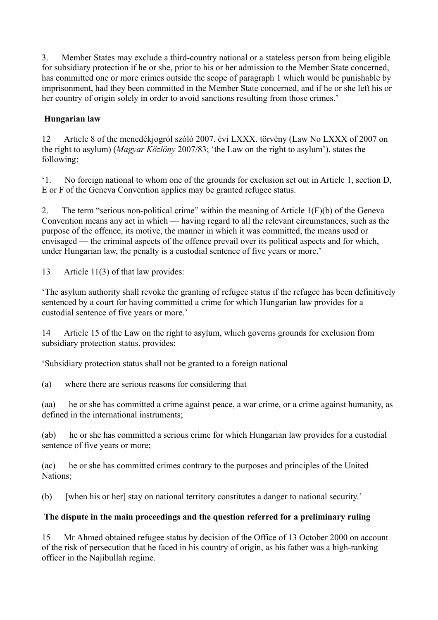3. Member States may exclude a third-country national or a stateless person from being eligible for subsidiary protection if he or she, prior to his or her admission to the Member State concerned, has committed one or more crimes outside the scope of paragraph 1 which would be punishable by imprisonment, had they been committed in the Member State concerned, and if he or she left his or her country of origin solely in order to avoid sanctions resulting from those crimes.'

# **Hungarian law**

12 Article 8 of the menedékjogról szóló 2007. évi LXXX. törvény (Law No LXXX of 2007 on the right to asylum) (*Magyar Közlöny* 2007/83; 'the Law on the right to asylum'), states the following:

'1. No foreign national to whom one of the grounds for exclusion set out in Article 1, section D, E or F of the Geneva Convention applies may be granted refugee status.

2. The term "serious non-political crime" within the meaning of Article 1(F)(b) of the Geneva Convention means any act in which — having regard to all the relevant circumstances, such as the purpose of the offence, its motive, the manner in which it was committed, the means used or envisaged — the criminal aspects of the offence prevail over its political aspects and for which, under Hungarian law, the penalty is a custodial sentence of five years or more.'

13 Article 11(3) of that law provides:

'The asylum authority shall revoke the granting of refugee status if the refugee has been definitively sentenced by a court for having committed a crime for which Hungarian law provides for a custodial sentence of five years or more.'

14 Article 15 of the Law on the right to asylum, which governs grounds for exclusion from subsidiary protection status, provides:

'Subsidiary protection status shall not be granted to a foreign national

(a) where there are serious reasons for considering that

(aa) he or she has committed a crime against peace, a war crime, or a crime against humanity, as defined in the international instruments;

(ab) he or she has committed a serious crime for which Hungarian law provides for a custodial sentence of five years or more;

(ac) he or she has committed crimes contrary to the purposes and principles of the United Nations;

(b) [when his or her] stay on national territory constitutes a danger to national security.'

# **The dispute in the main proceedings and the question referred for a preliminary ruling**

15 Mr Ahmed obtained refugee status by decision of the Office of 13 October 2000 on account of the risk of persecution that he faced in his country of origin, as his father was a high-ranking officer in the Najibullah regime.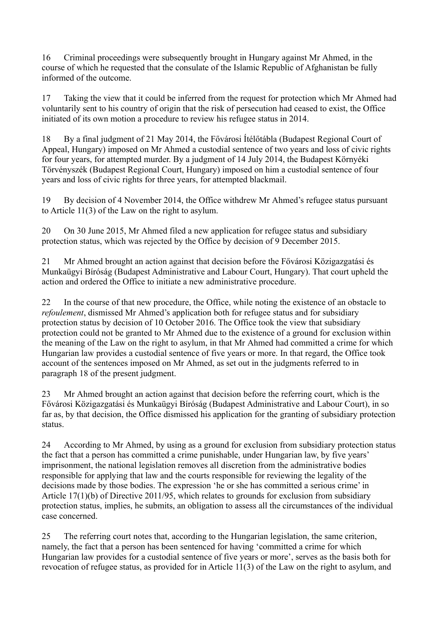16 Criminal proceedings were subsequently brought in Hungary against Mr Ahmed, in the course of which he requested that the consulate of the Islamic Republic of Afghanistan be fully informed of the outcome.

17 Taking the view that it could be inferred from the request for protection which Mr Ahmed had voluntarily sent to his country of origin that the risk of persecution had ceased to exist, the Office initiated of its own motion a procedure to review his refugee status in 2014.

18 By a final judgment of 21 May 2014, the Fővárosi Ítélőtábla (Budapest Regional Court of Appeal, Hungary) imposed on Mr Ahmed a custodial sentence of two years and loss of civic rights for four years, for attempted murder. By a judgment of 14 July 2014, the Budapest Környéki Törvényszék (Budapest Regional Court, Hungary) imposed on him a custodial sentence of four years and loss of civic rights for three years, for attempted blackmail.

19 By decision of 4 November 2014, the Office withdrew Mr Ahmed's refugee status pursuant to Article 11(3) of the Law on the right to asylum.

20 On 30 June 2015, Mr Ahmed filed a new application for refugee status and subsidiary protection status, which was rejected by the Office by decision of 9 December 2015.

21 Mr Ahmed brought an action against that decision before the Fővárosi Közigazgatási és Munkaügyi Bíróság (Budapest Administrative and Labour Court, Hungary). That court upheld the action and ordered the Office to initiate a new administrative procedure.

22 In the course of that new procedure, the Office, while noting the existence of an obstacle to *refoulement*, dismissed Mr Ahmed's application both for refugee status and for subsidiary protection status by decision of 10 October 2016. The Office took the view that subsidiary protection could not be granted to Mr Ahmed due to the existence of a ground for exclusion within the meaning of the Law on the right to asylum, in that Mr Ahmed had committed a crime for which Hungarian law provides a custodial sentence of five years or more. In that regard, the Office took account of the sentences imposed on Mr Ahmed, as set out in the judgments referred to in paragraph 18 of the present judgment.

23 Mr Ahmed brought an action against that decision before the referring court, which is the Fővárosi Közigazgatási és Munkaügyi Bíróság (Budapest Administrative and Labour Court), in so far as, by that decision, the Office dismissed his application for the granting of subsidiary protection status.

24 According to Mr Ahmed, by using as a ground for exclusion from subsidiary protection status the fact that a person has committed a crime punishable, under Hungarian law, by five years' imprisonment, the national legislation removes all discretion from the administrative bodies responsible for applying that law and the courts responsible for reviewing the legality of the decisions made by those bodies. The expression 'he or she has committed a serious crime' in Article 17(1)(b) of Directive 2011/95, which relates to grounds for exclusion from subsidiary protection status, implies, he submits, an obligation to assess all the circumstances of the individual case concerned.

25 The referring court notes that, according to the Hungarian legislation, the same criterion, namely, the fact that a person has been sentenced for having 'committed a crime for which Hungarian law provides for a custodial sentence of five years or more', serves as the basis both for revocation of refugee status, as provided for in Article 11(3) of the Law on the right to asylum, and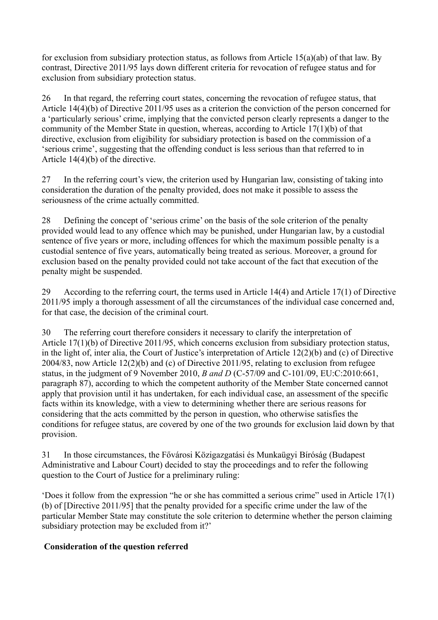for exclusion from subsidiary protection status, as follows from Article 15(a)(ab) of that law. By contrast, Directive 2011/95 lays down different criteria for revocation of refugee status and for exclusion from subsidiary protection status.

26 In that regard, the referring court states, concerning the revocation of refugee status, that Article 14(4)(b) of Directive 2011/95 uses as a criterion the conviction of the person concerned for a 'particularly serious' crime, implying that the convicted person clearly represents a danger to the community of the Member State in question, whereas, according to Article 17(1)(b) of that directive, exclusion from eligibility for subsidiary protection is based on the commission of a 'serious crime', suggesting that the offending conduct is less serious than that referred to in Article 14(4)(b) of the directive.

27 In the referring court's view, the criterion used by Hungarian law, consisting of taking into consideration the duration of the penalty provided, does not make it possible to assess the seriousness of the crime actually committed.

28 Defining the concept of 'serious crime' on the basis of the sole criterion of the penalty provided would lead to any offence which may be punished, under Hungarian law, by a custodial sentence of five years or more, including offences for which the maximum possible penalty is a custodial sentence of five years, automatically being treated as serious. Moreover, a ground for exclusion based on the penalty provided could not take account of the fact that execution of the penalty might be suspended.

29 According to the referring court, the terms used in Article 14(4) and Article 17(1) of Directive 2011/95 imply a thorough assessment of all the circumstances of the individual case concerned and, for that case, the decision of the criminal court.

30 The referring court therefore considers it necessary to clarify the interpretation of Article 17(1)(b) of Directive 2011/95, which concerns exclusion from subsidiary protection status, in the light of, inter alia, the Court of Justice's interpretation of Article 12(2)(b) and (c) of Directive 2004/83, now Article 12(2)(b) and (c) of Directive 2011/95, relating to exclusion from refugee status, in the judgment of 9 November 2010, *B and D* (C-57/09 and C-101/09, EU:C:2010:661, paragraph 87), according to which the competent authority of the Member State concerned cannot apply that provision until it has undertaken, for each individual case, an assessment of the specific facts within its knowledge, with a view to determining whether there are serious reasons for considering that the acts committed by the person in question, who otherwise satisfies the conditions for refugee status, are covered by one of the two grounds for exclusion laid down by that provision.

31 In those circumstances, the Fővárosi Közigazgatási és Munkaügyi Bíróság (Budapest Administrative and Labour Court) decided to stay the proceedings and to refer the following question to the Court of Justice for a preliminary ruling:

'Does it follow from the expression "he or she has committed a serious crime" used in Article 17(1) (b) of [Directive 2011/95] that the penalty provided for a specific crime under the law of the particular Member State may constitute the sole criterion to determine whether the person claiming subsidiary protection may be excluded from it?'

## **Consideration of the question referred**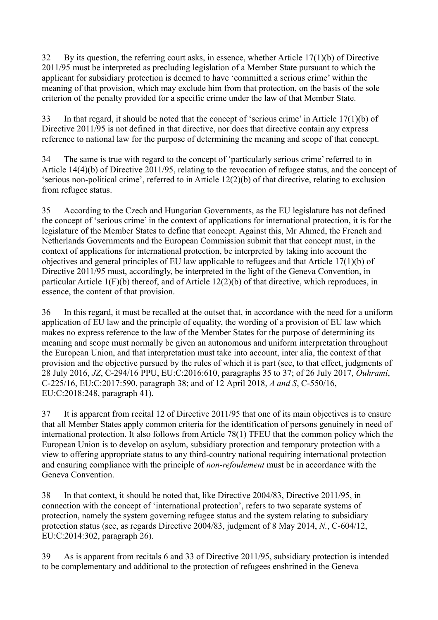32 By its question, the referring court asks, in essence, whether Article 17(1)(b) of Directive 2011/95 must be interpreted as precluding legislation of a Member State pursuant to which the applicant for subsidiary protection is deemed to have 'committed a serious crime' within the meaning of that provision, which may exclude him from that protection, on the basis of the sole criterion of the penalty provided for a specific crime under the law of that Member State.

33 In that regard, it should be noted that the concept of 'serious crime' in Article 17(1)(b) of Directive 2011/95 is not defined in that directive, nor does that directive contain any express reference to national law for the purpose of determining the meaning and scope of that concept.

34 The same is true with regard to the concept of 'particularly serious crime' referred to in Article 14(4)(b) of Directive 2011/95, relating to the revocation of refugee status, and the concept of 'serious non-political crime', referred to in Article 12(2)(b) of that directive, relating to exclusion from refugee status.

35 According to the Czech and Hungarian Governments, as the EU legislature has not defined the concept of 'serious crime' in the context of applications for international protection, it is for the legislature of the Member States to define that concept. Against this, Mr Ahmed, the French and Netherlands Governments and the European Commission submit that that concept must, in the context of applications for international protection, be interpreted by taking into account the objectives and general principles of EU law applicable to refugees and that Article 17(1)(b) of Directive 2011/95 must, accordingly, be interpreted in the light of the Geneva Convention, in particular Article 1(F)(b) thereof, and of Article 12(2)(b) of that directive, which reproduces, in essence, the content of that provision.

36 In this regard, it must be recalled at the outset that, in accordance with the need for a uniform application of EU law and the principle of equality, the wording of a provision of EU law which makes no express reference to the law of the Member States for the purpose of determining its meaning and scope must normally be given an autonomous and uniform interpretation throughout the European Union, and that interpretation must take into account, inter alia, the context of that provision and the objective pursued by the rules of which it is part (see, to that effect, judgments of 28 July 2016, *JZ*, C-294/16 PPU, EU:C:2016:610, paragraphs 35 to 37; of 26 July 2017, *Ouhrami*, C-225/16, EU:C:2017:590, paragraph 38; and of 12 April 2018, *A and S*, C-550/16, EU:C:2018:248, paragraph 41).

37 It is apparent from recital 12 of Directive 2011/95 that one of its main objectives is to ensure that all Member States apply common criteria for the identification of persons genuinely in need of international protection. It also follows from Article 78(1) TFEU that the common policy which the European Union is to develop on asylum, subsidiary protection and temporary protection with a view to offering appropriate status to any third-country national requiring international protection and ensuring compliance with the principle of *non-refoulement* must be in accordance with the Geneva Convention.

38 In that context, it should be noted that, like Directive 2004/83, Directive 2011/95, in connection with the concept of 'international protection', refers to two separate systems of protection, namely the system governing refugee status and the system relating to subsidiary protection status (see, as regards Directive 2004/83, judgment of 8 May 2014, *N.*, C-604/12, EU:C:2014:302, paragraph 26).

39 As is apparent from recitals 6 and 33 of Directive 2011/95, subsidiary protection is intended to be complementary and additional to the protection of refugees enshrined in the Geneva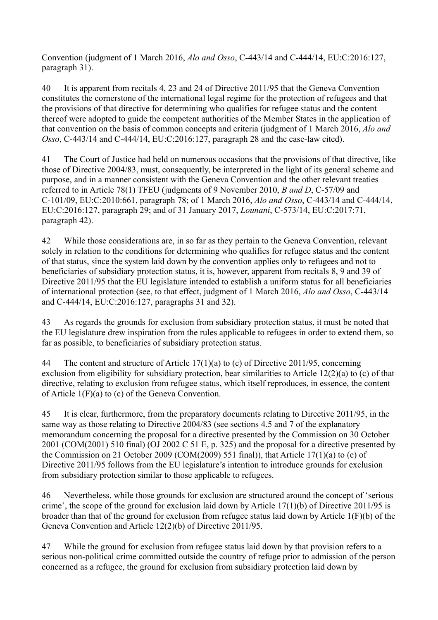Convention (judgment of 1 March 2016, *Alo and Osso*, C-443/14 and C-444/14, EU:C:2016:127, paragraph 31).

40 It is apparent from recitals 4, 23 and 24 of Directive 2011/95 that the Geneva Convention constitutes the cornerstone of the international legal regime for the protection of refugees and that the provisions of that directive for determining who qualifies for refugee status and the content thereof were adopted to guide the competent authorities of the Member States in the application of that convention on the basis of common concepts and criteria (judgment of 1 March 2016, *Alo and Osso*, C-443/14 and C-444/14, EU:C:2016:127, paragraph 28 and the case-law cited).

41 The Court of Justice had held on numerous occasions that the provisions of that directive, like those of Directive 2004/83, must, consequently, be interpreted in the light of its general scheme and purpose, and in a manner consistent with the Geneva Convention and the other relevant treaties referred to in Article 78(1) TFEU (judgments of 9 November 2010, *B and D*, C-57/09 and C-101/09, EU:C:2010:661, paragraph 78; of 1 March 2016, *Alo and Osso*, C-443/14 and C-444/14, EU:C:2016:127, paragraph 29; and of 31 January 2017, *Lounani*, C-573/14, EU:C:2017:71, paragraph 42).

42 While those considerations are, in so far as they pertain to the Geneva Convention, relevant solely in relation to the conditions for determining who qualifies for refugee status and the content of that status, since the system laid down by the convention applies only to refugees and not to beneficiaries of subsidiary protection status, it is, however, apparent from recitals 8, 9 and 39 of Directive 2011/95 that the EU legislature intended to establish a uniform status for all beneficiaries of international protection (see, to that effect, judgment of 1 March 2016, *Alo and Osso*, C-443/14 and C-444/14, EU:C:2016:127, paragraphs 31 and 32).

43 As regards the grounds for exclusion from subsidiary protection status, it must be noted that the EU legislature drew inspiration from the rules applicable to refugees in order to extend them, so far as possible, to beneficiaries of subsidiary protection status.

44 The content and structure of Article 17(1)(a) to (c) of Directive 2011/95, concerning exclusion from eligibility for subsidiary protection, bear similarities to Article 12(2)(a) to (c) of that directive, relating to exclusion from refugee status, which itself reproduces, in essence, the content of Article 1(F)(a) to (c) of the Geneva Convention.

45 It is clear, furthermore, from the preparatory documents relating to Directive 2011/95, in the same way as those relating to Directive 2004/83 (see sections 4.5 and 7 of the explanatory memorandum concerning the proposal for a directive presented by the Commission on 30 October 2001 (COM(2001) 510 final) (OJ 2002 C 51 E, p. 325) and the proposal for a directive presented by the Commission on 21 October 2009 (COM(2009) 551 final)), that Article 17(1)(a) to  $\overline{c}$ ) of Directive 2011/95 follows from the EU legislature's intention to introduce grounds for exclusion from subsidiary protection similar to those applicable to refugees.

46 Nevertheless, while those grounds for exclusion are structured around the concept of 'serious crime', the scope of the ground for exclusion laid down by Article 17(1)(b) of Directive 2011/95 is broader than that of the ground for exclusion from refugee status laid down by Article 1(F)(b) of the Geneva Convention and Article 12(2)(b) of Directive 2011/95.

47 While the ground for exclusion from refugee status laid down by that provision refers to a serious non-political crime committed outside the country of refuge prior to admission of the person concerned as a refugee, the ground for exclusion from subsidiary protection laid down by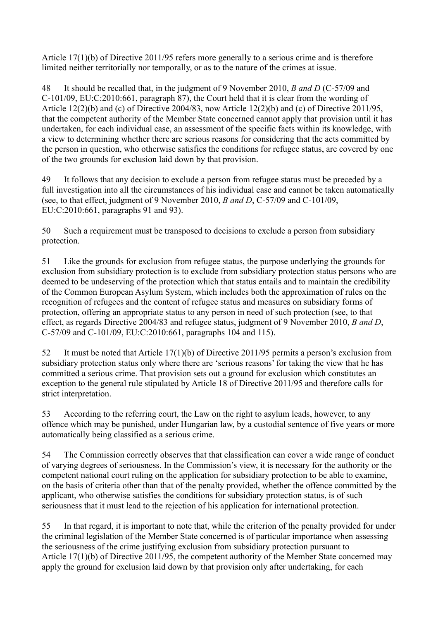Article 17(1)(b) of Directive 2011/95 refers more generally to a serious crime and is therefore limited neither territorially nor temporally, or as to the nature of the crimes at issue.

48 It should be recalled that, in the judgment of 9 November 2010, *B and D* (C-57/09 and C-101/09, EU:C:2010:661, paragraph 87), the Court held that it is clear from the wording of Article 12(2)(b) and (c) of Directive 2004/83, now Article 12(2)(b) and (c) of Directive 2011/95, that the competent authority of the Member State concerned cannot apply that provision until it has undertaken, for each individual case, an assessment of the specific facts within its knowledge, with a view to determining whether there are serious reasons for considering that the acts committed by the person in question, who otherwise satisfies the conditions for refugee status, are covered by one of the two grounds for exclusion laid down by that provision.

49 It follows that any decision to exclude a person from refugee status must be preceded by a full investigation into all the circumstances of his individual case and cannot be taken automatically (see, to that effect, judgment of 9 November 2010, *B and D*, C-57/09 and C-101/09, EU:C:2010:661, paragraphs 91 and 93).

50 Such a requirement must be transposed to decisions to exclude a person from subsidiary protection.

51 Like the grounds for exclusion from refugee status, the purpose underlying the grounds for exclusion from subsidiary protection is to exclude from subsidiary protection status persons who are deemed to be undeserving of the protection which that status entails and to maintain the credibility of the Common European Asylum System, which includes both the approximation of rules on the recognition of refugees and the content of refugee status and measures on subsidiary forms of protection, offering an appropriate status to any person in need of such protection (see, to that effect, as regards Directive 2004/83 and refugee status, judgment of 9 November 2010, *B and D*, C-57/09 and C-101/09, EU:C:2010:661, paragraphs 104 and 115).

52 It must be noted that Article 17(1)(b) of Directive 2011/95 permits a person's exclusion from subsidiary protection status only where there are 'serious reasons' for taking the view that he has committed a serious crime. That provision sets out a ground for exclusion which constitutes an exception to the general rule stipulated by Article 18 of Directive 2011/95 and therefore calls for strict interpretation.

53 According to the referring court, the Law on the right to asylum leads, however, to any offence which may be punished, under Hungarian law, by a custodial sentence of five years or more automatically being classified as a serious crime.

54 The Commission correctly observes that that classification can cover a wide range of conduct of varying degrees of seriousness. In the Commission's view, it is necessary for the authority or the competent national court ruling on the application for subsidiary protection to be able to examine, on the basis of criteria other than that of the penalty provided, whether the offence committed by the applicant, who otherwise satisfies the conditions for subsidiary protection status, is of such seriousness that it must lead to the rejection of his application for international protection.

55 In that regard, it is important to note that, while the criterion of the penalty provided for under the criminal legislation of the Member State concerned is of particular importance when assessing the seriousness of the crime justifying exclusion from subsidiary protection pursuant to Article 17(1)(b) of Directive 2011/95, the competent authority of the Member State concerned may apply the ground for exclusion laid down by that provision only after undertaking, for each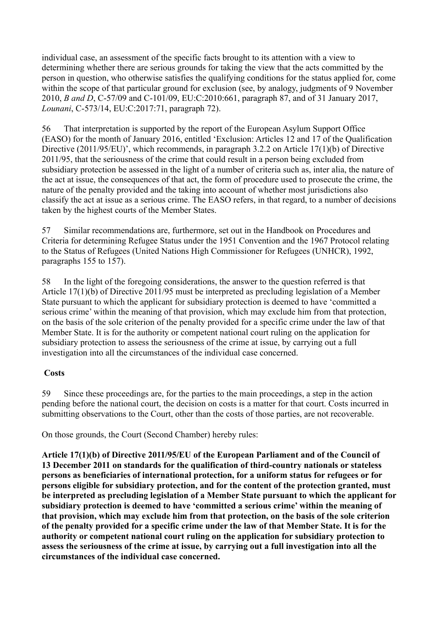individual case, an assessment of the specific facts brought to its attention with a view to determining whether there are serious grounds for taking the view that the acts committed by the person in question, who otherwise satisfies the qualifying conditions for the status applied for, come within the scope of that particular ground for exclusion (see, by analogy, judgments of 9 November 2010, *B and D*, C-57/09 and C-101/09, EU:C:2010:661, paragraph 87, and of 31 January 2017, *Lounani*, C-573/14, EU:C:2017:71, paragraph 72).

56 That interpretation is supported by the report of the European Asylum Support Office (EASO) for the month of January 2016, entitled 'Exclusion: Articles 12 and 17 of the Qualification Directive (2011/95/EU)', which recommends, in paragraph 3.2.2 on Article 17(1)(b) of Directive 2011/95, that the seriousness of the crime that could result in a person being excluded from subsidiary protection be assessed in the light of a number of criteria such as, inter alia, the nature of the act at issue, the consequences of that act, the form of procedure used to prosecute the crime, the nature of the penalty provided and the taking into account of whether most jurisdictions also classify the act at issue as a serious crime. The EASO refers, in that regard, to a number of decisions taken by the highest courts of the Member States.

57 Similar recommendations are, furthermore, set out in the Handbook on Procedures and Criteria for determining Refugee Status under the 1951 Convention and the 1967 Protocol relating to the Status of Refugees (United Nations High Commissioner for Refugees (UNHCR), 1992, paragraphs 155 to 157).

58 In the light of the foregoing considerations, the answer to the question referred is that Article 17(1)(b) of Directive 2011/95 must be interpreted as precluding legislation of a Member State pursuant to which the applicant for subsidiary protection is deemed to have 'committed a serious crime' within the meaning of that provision, which may exclude him from that protection, on the basis of the sole criterion of the penalty provided for a specific crime under the law of that Member State. It is for the authority or competent national court ruling on the application for subsidiary protection to assess the seriousness of the crime at issue, by carrying out a full investigation into all the circumstances of the individual case concerned.

## **Costs**

59 Since these proceedings are, for the parties to the main proceedings, a step in the action pending before the national court, the decision on costs is a matter for that court. Costs incurred in submitting observations to the Court, other than the costs of those parties, are not recoverable.

On those grounds, the Court (Second Chamber) hereby rules:

**Article 17(1)(b) of Directive 2011/95/EU of the European Parliament and of the Council of 13 December 2011 on standards for the qualification of third-country nationals or stateless persons as beneficiaries of international protection, for a uniform status for refugees or for persons eligible for subsidiary protection, and for the content of the protection granted, must be interpreted as precluding legislation of a Member State pursuant to which the applicant for subsidiary protection is deemed to have 'committed a serious crime' within the meaning of that provision, which may exclude him from that protection, on the basis of the sole criterion of the penalty provided for a specific crime under the law of that Member State. It is for the authority or competent national court ruling on the application for subsidiary protection to assess the seriousness of the crime at issue, by carrying out a full investigation into all the circumstances of the individual case concerned.**